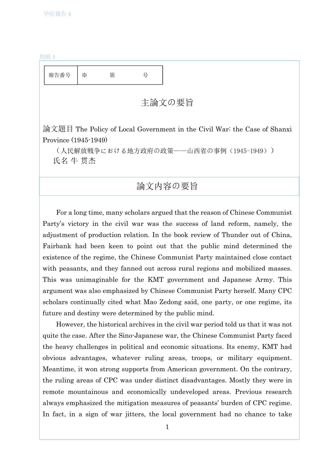## 別紙4

| 報告番号                                                                                             | $\cdot$ | 第 | 号 |  |
|--------------------------------------------------------------------------------------------------|---------|---|---|--|
| 主論文の要旨                                                                                           |         |   |   |  |
| 論文題目 The Policy of Local Government in the Civil War: the Case of Shanxi<br>Province (1945-1949) |         |   |   |  |
| (人民解放戦争における地方政府の政策――山西省の事例(1945-1949))<br>氏名 牛 贯杰                                                |         |   |   |  |
| 論文内容の要旨                                                                                          |         |   |   |  |

For a long time, many scholars argued that the reason of Chinese Communist Party's victory in the civil war was the success of land reform, namely, the adjustment of production relation. In the book review of Thunder out of China, Fairbank had been keen to point out that the public mind determined the existence of the regime, the Chinese Communist Party maintained close contact with peasants, and they fanned out across rural regions and mobilized masses. This was unimaginable for the KMT government and Japanese Army. This argument was also emphasized by Chinese Communist Party herself. Many CPC scholars continually cited what Mao Zedong said, one party, or one regime, its future and destiny were determined by the public mind.

However, the historical archives in the civil war period told us that it was not quite the case. After the Sino-Japanese war, the Chinese Communist Party faced the heavy challenges in political and economic situations. Its enemy, KMT had obvious advantages, whatever ruling areas, troops, or military equipment. Meantime, it won strong supports from American government. On the contrary, the ruling areas of CPC was under distinct disadvantages. Mostly they were in remote mountainous and economically undeveloped areas. Previous research always emphasized the mitigation measures of peasants' burden of CPC regime. In fact, in a sign of war jitters, the local government had no chance to take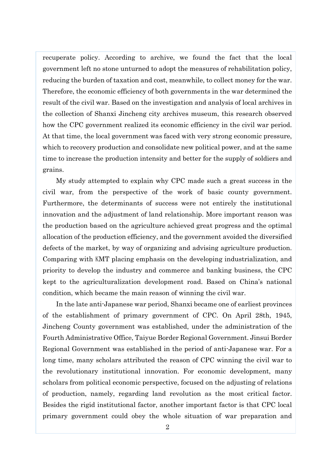recuperate policy. According to archive, we found the fact that the local government left no stone unturned to adopt the measures of rehabilitation policy, reducing the burden of taxation and cost, meanwhile, to collect money for the war. Therefore, the economic efficiency of both governments in the war determined the result of the civil war. Based on the investigation and analysis of local archives in the collection of Shanxi Jincheng city archives museum, this research observed how the CPC government realized its economic efficiency in the civil war period. At that time, the local government was faced with very strong economic pressure, which to recovery production and consolidate new political power, and at the same time to increase the production intensity and better for the supply of soldiers and grains.

My study attempted to explain why CPC made such a great success in the civil war, from the perspective of the work of basic county government. Furthermore, the determinants of success were not entirely the institutional innovation and the adjustment of land relationship. More important reason was the production based on the agriculture achieved great progress and the optimal allocation of the production efficiency, and the government avoided the diversified defects of the market, by way of organizing and advising agriculture production. Comparing with KMT placing emphasis on the developing industrialization, and priority to develop the industry and commerce and banking business, the CPC kept to the agriculturalization development road. Based on China's national condition, which became the main reason of winning the civil war.

In the late anti-Japanese war period, Shanxi became one of earliest provinces of the establishment of primary government of CPC. On April 28th, 1945, Jincheng County government was established, under the administration of the Fourth Administrative Office, Taiyue Border Regional Government. Jinsui Border Regional Government was established in the period of anti-Japanese war. For a long time, many scholars attributed the reason of CPC winning the civil war to the revolutionary institutional innovation. For economic development, many scholars from political economic perspective, focused on the adjusting of relations of production, namely, regarding land revolution as the most critical factor. Besides the rigid institutional factor, another important factor is that CPC local primary government could obey the whole situation of war preparation and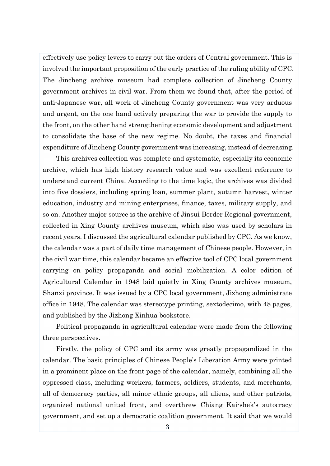effectively use policy levers to carry out the orders of Central government. This is involved the important proposition of the early practice of the ruling ability of CPC. The Jincheng archive museum had complete collection of Jincheng County government archives in civil war. From them we found that, after the period of anti-Japanese war, all work of Jincheng County government was very arduous and urgent, on the one hand actively preparing the war to provide the supply to the front, on the other hand strengthening economic development and adjustment to consolidate the base of the new regime. No doubt, the taxes and financial expenditure of Jincheng County government was increasing, instead of decreasing.

This archives collection was complete and systematic, especially its economic archive, which has high history research value and was excellent reference to understand current China. According to the time logic, the archives was divided into five dossiers, including spring loan, summer plant, autumn harvest, winter education, industry and mining enterprises, finance, taxes, military supply, and so on. Another major source is the archive of Jinsui Border Regional government, collected in Xing County archives museum, which also was used by scholars in recent years. I discussed the agricultural calendar published by CPC. As we know, the calendar was a part of daily time management of Chinese people. However, in the civil war time, this calendar became an effective tool of CPC local government carrying on policy propaganda and social mobilization. A color edition of Agricultural Calendar in 1948 laid quietly in Xing County archives museum, Shanxi province. It was issued by a CPC local government, Jizhong administrate office in 1948. The calendar was stereotype printing, sextodecimo, with 48 pages, and published by the Jizhong Xinhua bookstore.

Political propaganda in agricultural calendar were made from the following three perspectives.

Firstly, the policy of CPC and its army was greatly propagandized in the calendar. The basic principles of Chinese People's Liberation Army were printed in a prominent place on the front page of the calendar, namely, combining all the oppressed class, including workers, farmers, soldiers, students, and merchants, all of democracy parties, all minor ethnic groups, all aliens, and other patriots, organized national united front, and overthrew Chiang Kai-shek's autocracy government, and set up a democratic coalition government. It said that we would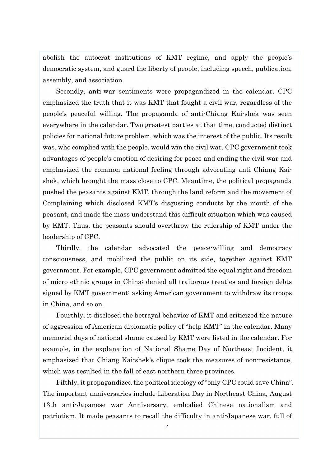abolish the autocrat institutions of KMT regime, and apply the people's democratic system, and guard the liberty of people, including speech, publication, assembly, and association.

Secondly, anti-war sentiments were propagandized in the calendar. CPC emphasized the truth that it was KMT that fought a civil war, regardless of the people's peaceful willing. The propaganda of anti-Chiang Kai-shek was seen everywhere in the calendar. Two greatest parties at that time, conducted distinct policies for national future problem, which was the interest of the public. Its result was, who complied with the people, would win the civil war. CPC government took advantages of people's emotion of desiring for peace and ending the civil war and emphasized the common national feeling through advocating anti Chiang Kaishek, which brought the mass close to CPC. Meantime, the political propaganda pushed the peasants against KMT, through the land reform and the movement of Complaining which disclosed KMT's disgusting conducts by the mouth of the peasant, and made the mass understand this difficult situation which was caused by KMT. Thus, the peasants should overthrow the rulership of KMT under the leadership of CPC.

Thirdly, the calendar advocated the peace-willing and democracy consciousness, and mobilized the public on its side, together against KMT government. For example, CPC government admitted the equal right and freedom of micro ethnic groups in China; denied all traitorous treaties and foreign debts signed by KMT government; asking American government to withdraw its troops in China, and so on.

Fourthly, it disclosed the betrayal behavior of KMT and criticized the nature of aggression of American diplomatic policy of "help KMT" in the calendar. Many memorial days of national shame caused by KMT were listed in the calendar. For example, in the explanation of National Shame Day of Northeast Incident, it emphasized that Chiang Kai-shek's clique took the measures of non-resistance, which was resulted in the fall of east northern three provinces.

Fifthly, it propagandized the political ideology of "only CPC could save China". The important anniversaries include Liberation Day in Northeast China, August 13th anti-Japanese war Anniversary, embodied Chinese nationalism and patriotism. It made peasants to recall the difficulty in anti-Japanese war, full of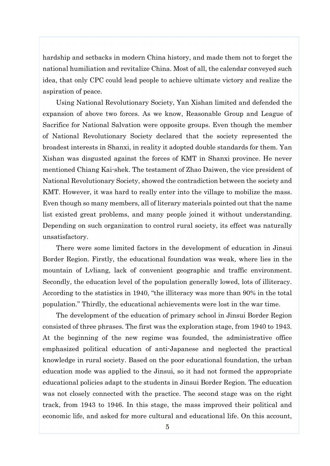hardship and setbacks in modern China history, and made them not to forget the national humiliation and revitalize China. Most of all, the calendar conveyed such idea, that only CPC could lead people to achieve ultimate victory and realize the aspiration of peace.

Using National Revolutionary Society, Yan Xishan limited and defended the expansion of above two forces. As we know, Reasonable Group and League of Sacrifice for National Salvation were opposite groups. Even though the member of National Revolutionary Society declared that the society represented the broadest interests in Shanxi, in reality it adopted double standards for them. Yan Xishan was disgusted against the forces of KMT in Shanxi province. He never mentioned Chiang Kai-shek. The testament of Zhao Daiwen, the vice president of National Revolutionary Society, showed the contradiction between the society and KMT. However, it was hard to really enter into the village to mobilize the mass. Even though so many members, all of literary materials pointed out that the name list existed great problems, and many people joined it without understanding. Depending on such organization to control rural society, its effect was naturally unsatisfactory.

There were some limited factors in the development of education in Jinsui Border Region. Firstly, the educational foundation was weak, where lies in the mountain of Lvliang, lack of convenient geographic and traffic environment. Secondly, the education level of the population generally lowed, lots of illiteracy. According to the statistics in 1940, "the illiteracy was more than 90% in the total population." Thirdly, the educational achievements were lost in the war time.

The development of the education of primary school in Jinsui Border Region consisted of three phrases. The first was the exploration stage, from 1940 to 1943. At the beginning of the new regime was founded, the administrative office emphasized political education of anti-Japanese and neglected the practical knowledge in rural society. Based on the poor educational foundation, the urban education mode was applied to the Jinsui, so it had not formed the appropriate educational policies adapt to the students in Jinsui Border Region. The education was not closely connected with the practice. The second stage was on the right track, from 1943 to 1946. In this stage, the mass improved their political and economic life, and asked for more cultural and educational life. On this account,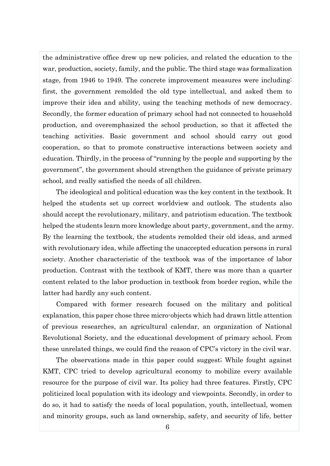the administrative office drew up new policies, and related the education to the war, production, society, family, and the public. The third stage was formalization stage, from 1946 to 1949. The concrete improvement measures were including: first, the government remolded the old type intellectual, and asked them to improve their idea and ability, using the teaching methods of new democracy. Secondly, the former education of primary school had not connected to household production, and overemphasized the school production, so that it affected the teaching activities. Basic government and school should carry out good cooperation, so that to promote constructive interactions between society and education. Thirdly, in the process of "running by the people and supporting by the government", the government should strengthen the guidance of private primary school, and really satisfied the needs of all children.

The ideological and political education was the key content in the textbook. It helped the students set up correct worldview and outlook. The students also should accept the revolutionary, military, and patriotism education. The textbook helped the students learn more knowledge about party, government, and the army. By the learning the textbook, the students remolded their old ideas, and armed with revolutionary idea, while affecting the unaccepted education persons in rural society. Another characteristic of the textbook was of the importance of labor production. Contrast with the textbook of KMT, there was more than a quarter content related to the labor production in textbook from border region, while the latter had hardly any such content.

Compared with former research focused on the military and political explanation, this paper chose three micro-objects which had drawn little attention of previous researches, an agricultural calendar, an organization of National Revolutional Society, and the educational development of primary school. From these unrelated things, we could find the reason of CPC's victory in the civil war.

The observations made in this paper could suggest; While fought against KMT, CPC tried to develop agricultural economy to mobilize every available resource for the purpose of civil war. Its policy had three features. Firstly, CPC politicized local population with its ideology and viewpoints. Secondly, in order to do so, it had to satisfy the needs of local population, youth, intellectual, women and minority groups, such as land ownership, safety, and security of life, better